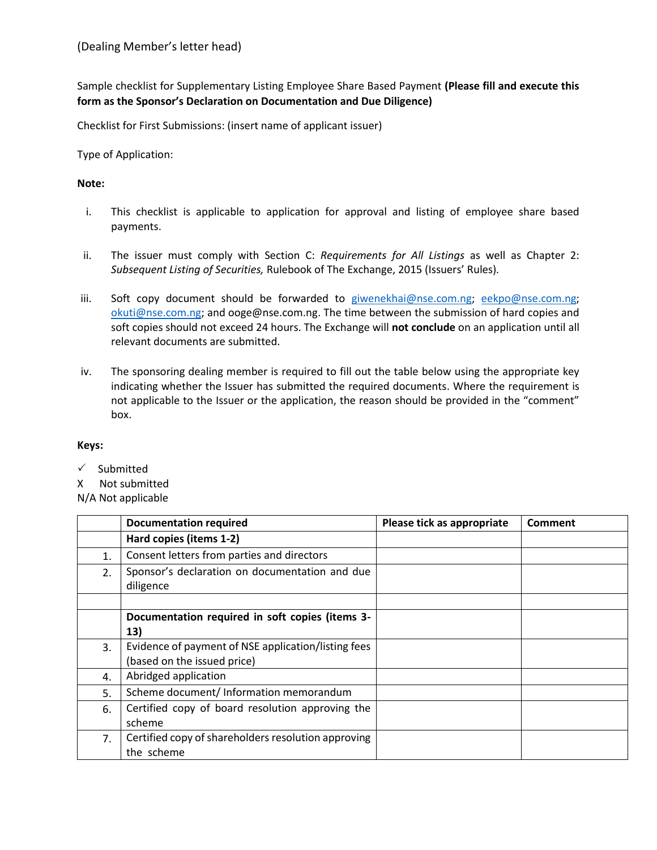Sample checklist for Supplementary Listing Employee Share Based Payment **(Please fill and execute this form as the Sponsor's Declaration on Documentation and Due Diligence)**

Checklist for First Submissions: (insert name of applicant issuer)

Type of Application:

## **Note:**

- i. This checklist is applicable to application for approval and listing of employee share based payments.
- ii. The issuer must comply with Section C: *Requirements for All Listings* as well as Chapter 2: *Subsequent Listing of Securities,* Rulebook of The Exchange, 2015 (Issuers' Rules)*.*
- iii. Soft copy document should be forwarded to [giwenekhai@nse.com.ng;](mailto:giwenekhai@nse.com.ng) [eekpo@nse.com.ng;](mailto:eekpo@nse.com.ng) [okuti@nse.com.ng;](mailto:okuti@nse.com.ng) and ooge@nse.com.ng. The time between the submission of hard copies and soft copies should not exceed 24 hours. The Exchange will **not conclude** on an application until all relevant documents are submitted.
- iv. The sponsoring dealing member is required to fill out the table below using the appropriate key indicating whether the Issuer has submitted the required documents. Where the requirement is not applicable to the Issuer or the application, the reason should be provided in the "comment" box.

## **Keys:**

 $\checkmark$  Submitted

X Not submitted

N/A Not applicable

|    | <b>Documentation required</b>                               | Please tick as appropriate | Comment |
|----|-------------------------------------------------------------|----------------------------|---------|
|    | Hard copies (items 1-2)                                     |                            |         |
| 1. | Consent letters from parties and directors                  |                            |         |
| 2. | Sponsor's declaration on documentation and due<br>diligence |                            |         |
|    |                                                             |                            |         |
|    | Documentation required in soft copies (items 3-             |                            |         |
|    | 13)                                                         |                            |         |
| 3. | Evidence of payment of NSE application/listing fees         |                            |         |
|    | (based on the issued price)                                 |                            |         |
| 4. | Abridged application                                        |                            |         |
| 5. | Scheme document/ Information memorandum                     |                            |         |
| 6. | Certified copy of board resolution approving the            |                            |         |
|    | scheme                                                      |                            |         |
| 7. | Certified copy of shareholders resolution approving         |                            |         |
|    | the scheme                                                  |                            |         |